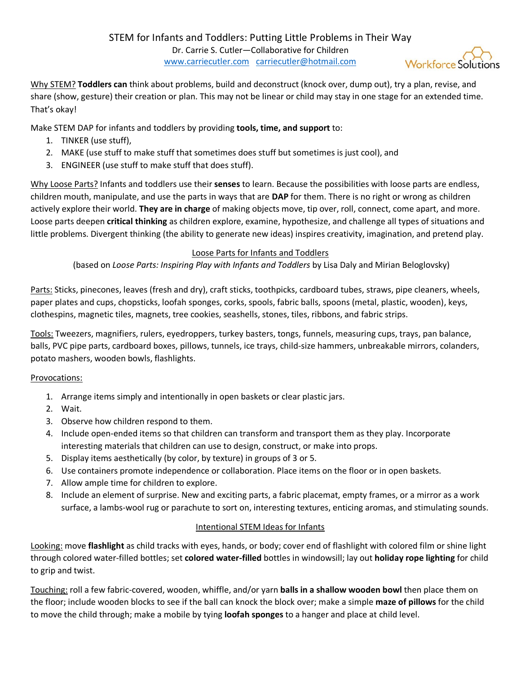Why STEM? **Toddlers can** think about problems, build and deconstruct (knock over, dump out), try a plan, revise, and share (show, gesture) their creation or plan. This may not be linear or child may stay in one stage for an extended time. That's okay!

Make STEM DAP for infants and toddlers by providing **tools, time, and support** to:

- 1. TINKER (use stuff),
- 2. MAKE (use stuff to make stuff that sometimes does stuff but sometimes is just cool), and
- 3. ENGINEER (use stuff to make stuff that does stuff).

Why Loose Parts? Infants and toddlers use their **senses** to learn. Because the possibilities with loose parts are endless, children mouth, manipulate, and use the parts in ways that are **DAP** for them. There is no right or wrong as children actively explore their world. **They are in charge** of making objects move, tip over, roll, connect, come apart, and more. Loose parts deepen **critical thinking** as children explore, examine, hypothesize, and challenge all types of situations and little problems. Divergent thinking (the ability to generate new ideas) inspires creativity, imagination, and pretend play.

## Loose Parts for Infants and Toddlers

(based on *Loose Parts: Inspiring Play with Infants and Toddlers* by Lisa Daly and Mirian Beloglovsky)

Parts: Sticks, pinecones, leaves (fresh and dry), craft sticks, toothpicks, cardboard tubes, straws, pipe cleaners, wheels, paper plates and cups, chopsticks, loofah sponges, corks, spools, fabric balls, spoons (metal, plastic, wooden), keys, clothespins, magnetic tiles, magnets, tree cookies, seashells, stones, tiles, ribbons, and fabric strips.

Tools: Tweezers, magnifiers, rulers, eyedroppers, turkey basters, tongs, funnels, measuring cups, trays, pan balance, balls, PVC pipe parts, cardboard boxes, pillows, tunnels, ice trays, child-size hammers, unbreakable mirrors, colanders, potato mashers, wooden bowls, flashlights.

## Provocations:

- 1. Arrange items simply and intentionally in open baskets or clear plastic jars.
- 2. Wait.
- 3. Observe how children respond to them.
- 4. Include open-ended items so that children can transform and transport them as they play. Incorporate interesting materials that children can use to design, construct, or make into props.
- 5. Display items aesthetically (by color, by texture) in groups of 3 or 5.
- 6. Use containers promote independence or collaboration. Place items on the floor or in open baskets.
- 7. Allow ample time for children to explore.
- 8. Include an element of surprise. New and exciting parts, a fabric placemat, empty frames, or a mirror as a work surface, a lambs-wool rug or parachute to sort on, interesting textures, enticing aromas, and stimulating sounds.

## Intentional STEM Ideas for Infants

Looking: move **flashlight** as child tracks with eyes, hands, or body; cover end of flashlight with colored film or shine light through colored water-filled bottles; set **colored water-filled** bottles in windowsill; lay out **holiday rope lighting** for child to grip and twist.

Touching: roll a few fabric-covered, wooden, whiffle, and/or yarn **balls in a shallow wooden bowl** then place them on the floor; include wooden blocks to see if the ball can knock the block over; make a simple **maze of pillows** for the child to move the child through; make a mobile by tying **loofah sponges** to a hanger and place at child level.